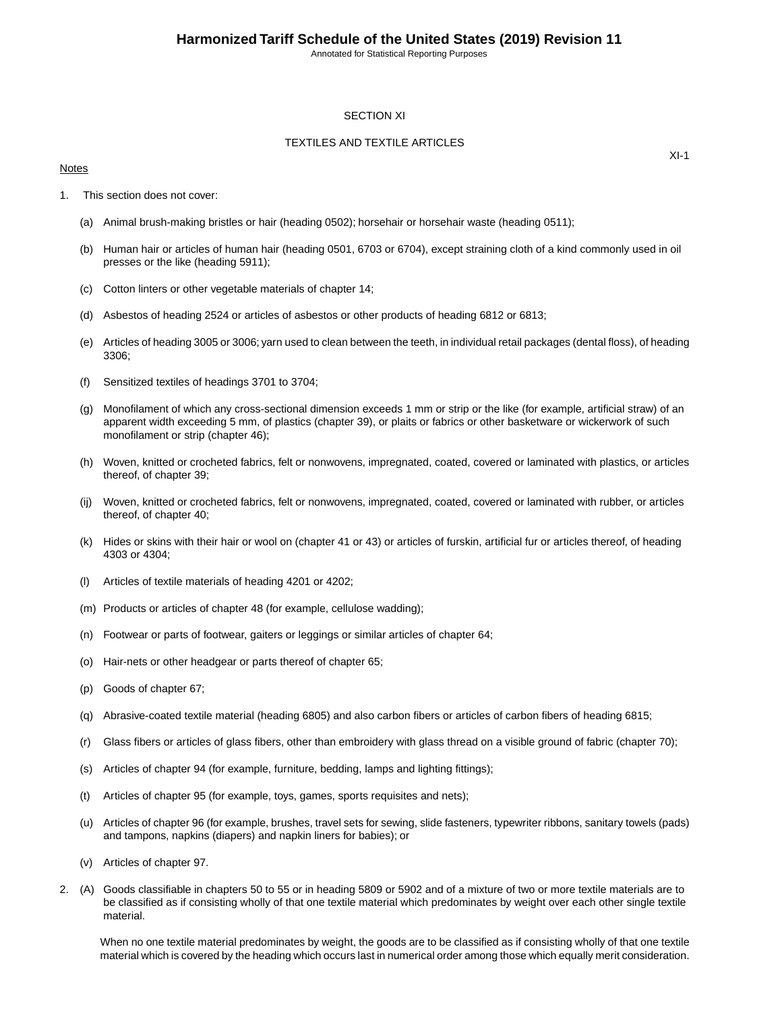## SECTION XI

## TEXTILES AND TEXTILE ARTICLES

## Notes

 $XI-1$ 

- 1. This section does not cover:
	- (a) Animal brush-making bristles or hair (heading 0502); horsehair or horsehair waste (heading 0511);
	- (b) Human hair or articles of human hair (heading 0501, 6703 or 6704), except straining cloth of a kind commonly used in oil presses or the like (heading 5911);
	- (c) Cotton linters or other vegetable materials of chapter 14;
	- (d) Asbestos of heading 2524 or articles of asbestos or other products of heading 6812 or 6813;
	- (e) Articles of heading 3005 or 3006; yarn used to clean between the teeth, in individual retail packages (dental floss), of heading 3306;
	- (f) Sensitized textiles of headings 3701 to 3704;
	- (g) Monofilament of which any cross-sectional dimension exceeds 1 mm or strip or the like (for example, artificial straw) of an apparent width exceeding 5 mm, of plastics (chapter 39), or plaits or fabrics or other basketware or wickerwork of such monofilament or strip (chapter 46);
	- (h) Woven, knitted or crocheted fabrics, felt or nonwovens, impregnated, coated, covered or laminated with plastics, or articles thereof, of chapter 39;
	- (ij) Woven, knitted or crocheted fabrics, felt or nonwovens, impregnated, coated, covered or laminated with rubber, or articles thereof, of chapter 40;
	- (k) Hides or skins with their hair or wool on (chapter 41 or 43) or articles of furskin, artificial fur or articles thereof, of heading 4303 or 4304;
	- (l) Articles of textile materials of heading 4201 or 4202;
	- (m) Products or articles of chapter 48 (for example, cellulose wadding);
	- (n) Footwear or parts of footwear, gaiters or leggings or similar articles of chapter 64;
	- (o) Hair-nets or other headgear or parts thereof of chapter 65;
	- (p) Goods of chapter 67;
	- (q) Abrasive-coated textile material (heading 6805) and also carbon fibers or articles of carbon fibers of heading 6815;
	- (r) Glass fibers or articles of glass fibers, other than embroidery with glass thread on a visible ground of fabric (chapter 70);
	- (s) Articles of chapter 94 (for example, furniture, bedding, lamps and lighting fittings);
	- (t) Articles of chapter 95 (for example, toys, games, sports requisites and nets);
	- (u) Articles of chapter 96 (for example, brushes, travel sets for sewing, slide fasteners, typewriter ribbons, sanitary towels (pads) and tampons, napkins (diapers) and napkin liners for babies); or
	- (v) Articles of chapter 97.
- 2. (A) Goods classifiable in chapters 50 to 55 or in heading 5809 or 5902 and of a mixture of two or more textile materials are to be classified as if consisting wholly of that one textile material which predominates by weight over each other single textile material.

When no one textile material predominates by weight, the goods are to be classified as if consisting wholly of that one textile material which is covered by the heading which occurs last in numerical order among those which equally merit consideration.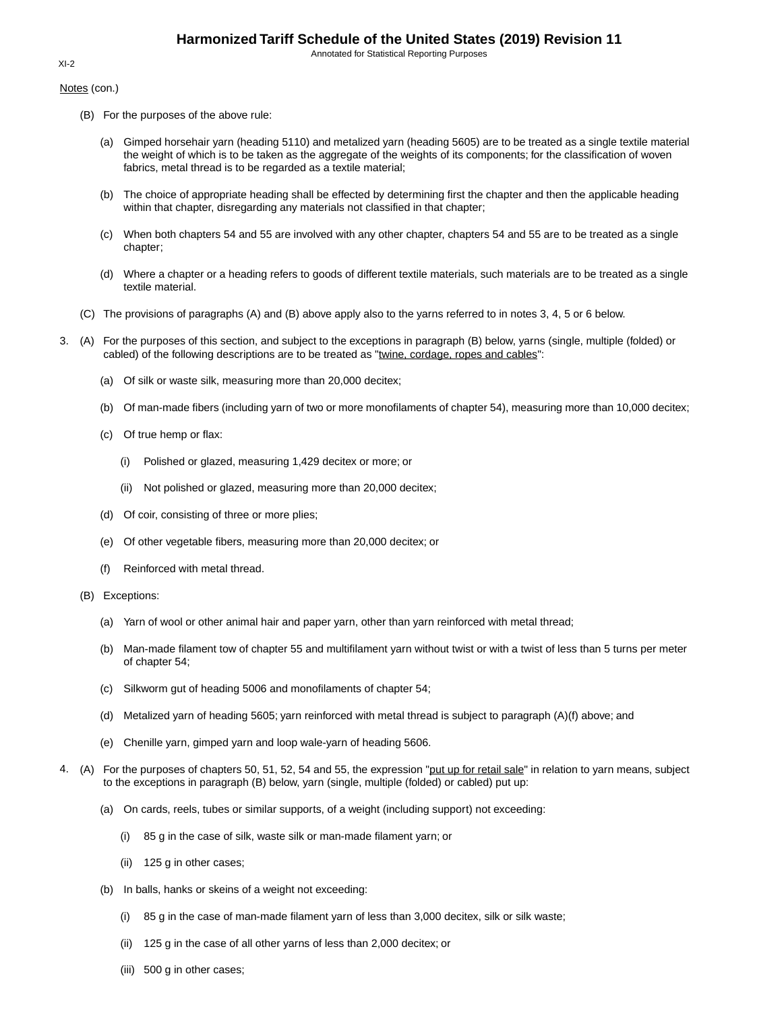Notes (con.)

- (B) For the purposes of the above rule:
	- (a) Gimped horsehair yarn (heading 5110) and metalized yarn (heading 5605) are to be treated as a single textile material the weight of which is to be taken as the aggregate of the weights of its components; for the classification of woven fabrics, metal thread is to be regarded as a textile material;
	- (b) The choice of appropriate heading shall be effected by determining first the chapter and then the applicable heading within that chapter, disregarding any materials not classified in that chapter;
	- (c) When both chapters 54 and 55 are involved with any other chapter, chapters 54 and 55 are to be treated as a single chapter;
	- (d) Where a chapter or a heading refers to goods of different textile materials, such materials are to be treated as a single textile material.
- (C) The provisions of paragraphs (A) and (B) above apply also to the yarns referred to in notes 3, 4, 5 or 6 below.
- 3. (A) For the purposes of this section, and subject to the exceptions in paragraph (B) below, yarns (single, multiple (folded) or cabled) of the following descriptions are to be treated as "twine, cordage, ropes and cables":
	- (a) Of silk or waste silk, measuring more than 20,000 decitex;
	- (b) Of man-made fibers (including yarn of two or more monofilaments of chapter 54), measuring more than 10,000 decitex;
	- (c) Of true hemp or flax:
		- (i) Polished or glazed, measuring 1,429 decitex or more; or
		- (ii) Not polished or glazed, measuring more than 20,000 decitex;
	- (d) Of coir, consisting of three or more plies;
	- (e) Of other vegetable fibers, measuring more than 20,000 decitex; or
	- (f) Reinforced with metal thread.
	- (B) Exceptions:
		- (a) Yarn of wool or other animal hair and paper yarn, other than yarn reinforced with metal thread;
		- (b) Man-made filament tow of chapter 55 and multifilament yarn without twist or with a twist of less than 5 turns per meter of chapter 54;
		- (c) Silkworm gut of heading 5006 and monofilaments of chapter 54;
		- (d) Metalized yarn of heading 5605; yarn reinforced with metal thread is subject to paragraph (A)(f) above; and
		- (e) Chenille yarn, gimped yarn and loop wale-yarn of heading 5606.
- 4. (A) For the purposes of chapters 50, 51, 52, 54 and 55, the expression "put up for retail sale" in relation to yarn means, subject to the exceptions in paragraph (B) below, yarn (single, multiple (folded) or cabled) put up:
	- (a) On cards, reels, tubes or similar supports, of a weight (including support) not exceeding:
		- (i) 85 g in the case of silk, waste silk or man-made filament yarn; or
		- (ii) 125 g in other cases;
	- (b) In balls, hanks or skeins of a weight not exceeding:
		- (i) 85 g in the case of man-made filament yarn of less than 3,000 decitex, silk or silk waste;
		- (ii) 125 g in the case of all other yarns of less than 2,000 decitex; or
		- (iii) 500 g in other cases;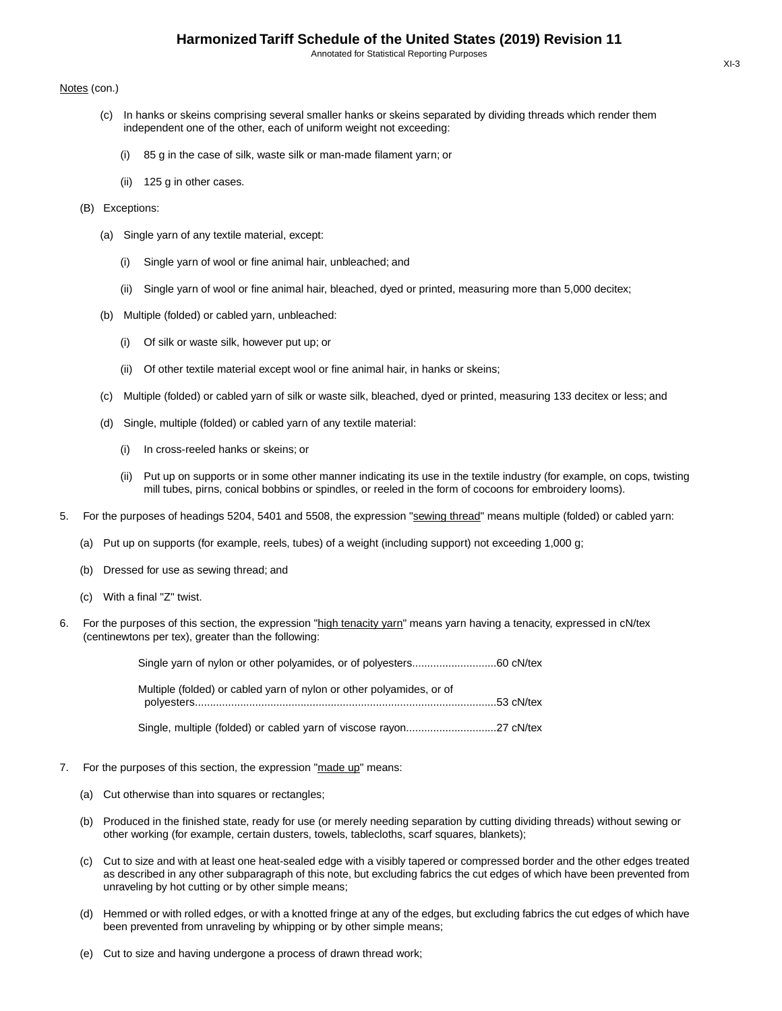#### Notes (con.)

- (c) In hanks or skeins comprising several smaller hanks or skeins separated by dividing threads which render them independent one of the other, each of uniform weight not exceeding:
	- (i) 85 g in the case of silk, waste silk or man-made filament yarn; or
	- (ii) 125 g in other cases.
- (B) Exceptions:
	- (a) Single yarn of any textile material, except:
		- (i) Single yarn of wool or fine animal hair, unbleached; and
		- (ii) Single yarn of wool or fine animal hair, bleached, dyed or printed, measuring more than 5,000 decitex;
	- (b) Multiple (folded) or cabled yarn, unbleached:
		- (i) Of silk or waste silk, however put up; or
		- (ii) Of other textile material except wool or fine animal hair, in hanks or skeins;
	- (c) Multiple (folded) or cabled yarn of silk or waste silk, bleached, dyed or printed, measuring 133 decitex or less; and
	- (d) Single, multiple (folded) or cabled yarn of any textile material:
		- (i) In cross-reeled hanks or skeins; or
		- (ii) Put up on supports or in some other manner indicating its use in the textile industry (for example, on cops, twisting mill tubes, pirns, conical bobbins or spindles, or reeled in the form of cocoons for embroidery looms).
- 5. For the purposes of headings 5204, 5401 and 5508, the expression "sewing thread" means multiple (folded) or cabled yarn:
	- (a) Put up on supports (for example, reels, tubes) of a weight (including support) not exceeding 1,000 g;
	- (b) Dressed for use as sewing thread; and
	- (c) With a final "Z" twist.
- 6. For the purposes of this section, the expression "high tenacity yarn" means yarn having a tenacity, expressed in cN/tex (centinewtons per tex), greater than the following:

| Multiple (folded) or cabled yarn of nylon or other polyamides, or of |  |
|----------------------------------------------------------------------|--|
|                                                                      |  |

Single, multiple (folded) or cabled yarn of viscose rayon..............................27 cN/tex

- 7. For the purposes of this section, the expression "made up" means:
	- (a) Cut otherwise than into squares or rectangles;
	- (b) Produced in the finished state, ready for use (or merely needing separation by cutting dividing threads) without sewing or other working (for example, certain dusters, towels, tablecloths, scarf squares, blankets);
	- (c) Cut to size and with at least one heat-sealed edge with a visibly tapered or compressed border and the other edges treated as described in any other subparagraph of this note, but excluding fabrics the cut edges of which have been prevented from unraveling by hot cutting or by other simple means;
	- (d) Hemmed or with rolled edges, or with a knotted fringe at any of the edges, but excluding fabrics the cut edges of which have been prevented from unraveling by whipping or by other simple means;
	- (e) Cut to size and having undergone a process of drawn thread work;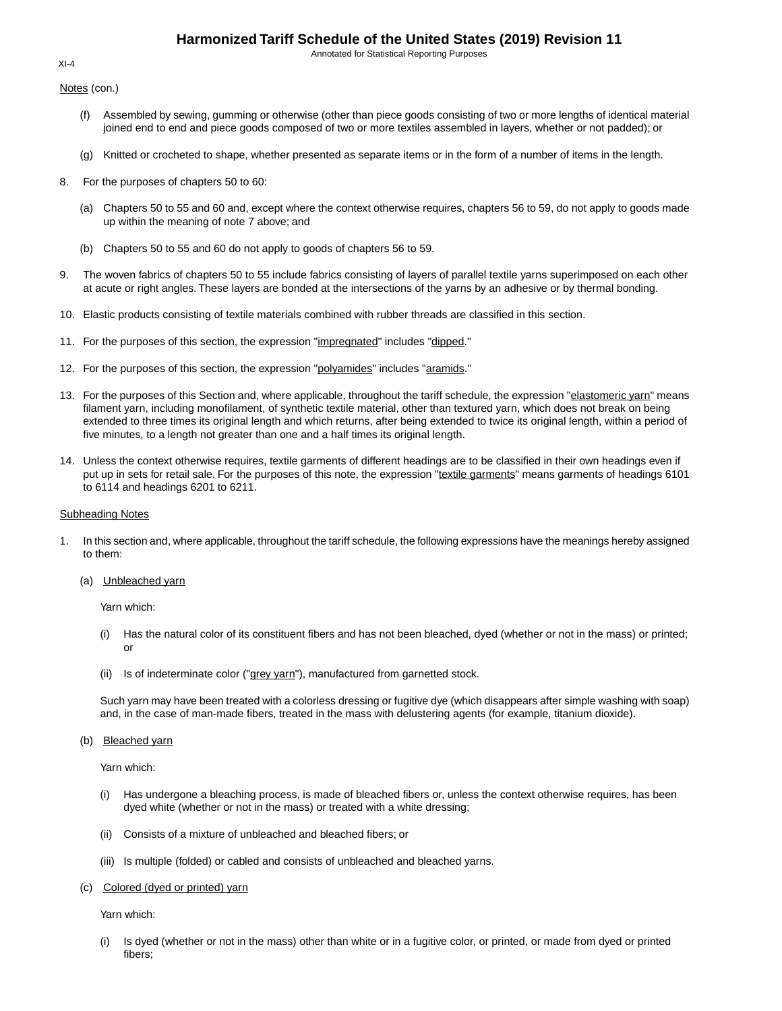Annotated for Statistical Reporting Purposes

Notes (con.)

- (f) Assembled by sewing, gumming or otherwise (other than piece goods consisting of two or more lengths of identical material joined end to end and piece goods composed of two or more textiles assembled in layers, whether or not padded); or
- (g) Knitted or crocheted to shape, whether presented as separate items or in the form of a number of items in the length.
- 8. For the purposes of chapters 50 to 60:
	- (a) Chapters 50 to 55 and 60 and, except where the context otherwise requires, chapters 56 to 59, do not apply to goods made up within the meaning of note 7 above; and
	- (b) Chapters 50 to 55 and 60 do not apply to goods of chapters 56 to 59.
- 9. The woven fabrics of chapters 50 to 55 include fabrics consisting of layers of parallel textile yarns superimposed on each other at acute or right angles. These layers are bonded at the intersections of the yarns by an adhesive or by thermal bonding.
- 10. Elastic products consisting of textile materials combined with rubber threads are classified in this section.
- 11. For the purposes of this section, the expression "impregnated" includes "dipped."
- 12. For the purposes of this section, the expression "polyamides" includes "aramids."
- 13. For the purposes of this Section and, where applicable, throughout the tariff schedule, the expression "elastomeric yarn" means filament yarn, including monofilament, of synthetic textile material, other than textured yarn, which does not break on being extended to three times its original length and which returns, after being extended to twice its original length, within a period of five minutes, to a length not greater than one and a half times its original length.
- 14. Unless the context otherwise requires, textile garments of different headings are to be classified in their own headings even if put up in sets for retail sale. For the purposes of this note, the expression "textile garments" means garments of headings 6101 to 6114 and headings 6201 to 6211.

#### Subheading Notes

- 1. In this section and, where applicable, throughout the tariff schedule, the following expressions have the meanings hereby assigned to them:
	- (a) Unbleached yarn

Yarn which:

- (i) Has the natural color of its constituent fibers and has not been bleached, dyed (whether or not in the mass) or printed; or
- (ii) Is of indeterminate color ("grey yarn"), manufactured from garnetted stock.

Such yarn may have been treated with a colorless dressing or fugitive dye (which disappears after simple washing with soap) and, in the case of man-made fibers, treated in the mass with delustering agents (for example, titanium dioxide).

(b) Bleached yarn

Yarn which:

- (i) Has undergone a bleaching process, is made of bleached fibers or, unless the context otherwise requires, has been dyed white (whether or not in the mass) or treated with a white dressing;
- (ii) Consists of a mixture of unbleached and bleached fibers; or
- (iii) Is multiple (folded) or cabled and consists of unbleached and bleached yarns.
- (c) Colored (dyed or printed) yarn

Yarn which:

(i) Is dyed (whether or not in the mass) other than white or in a fugitive color, or printed, or made from dyed or printed fibers;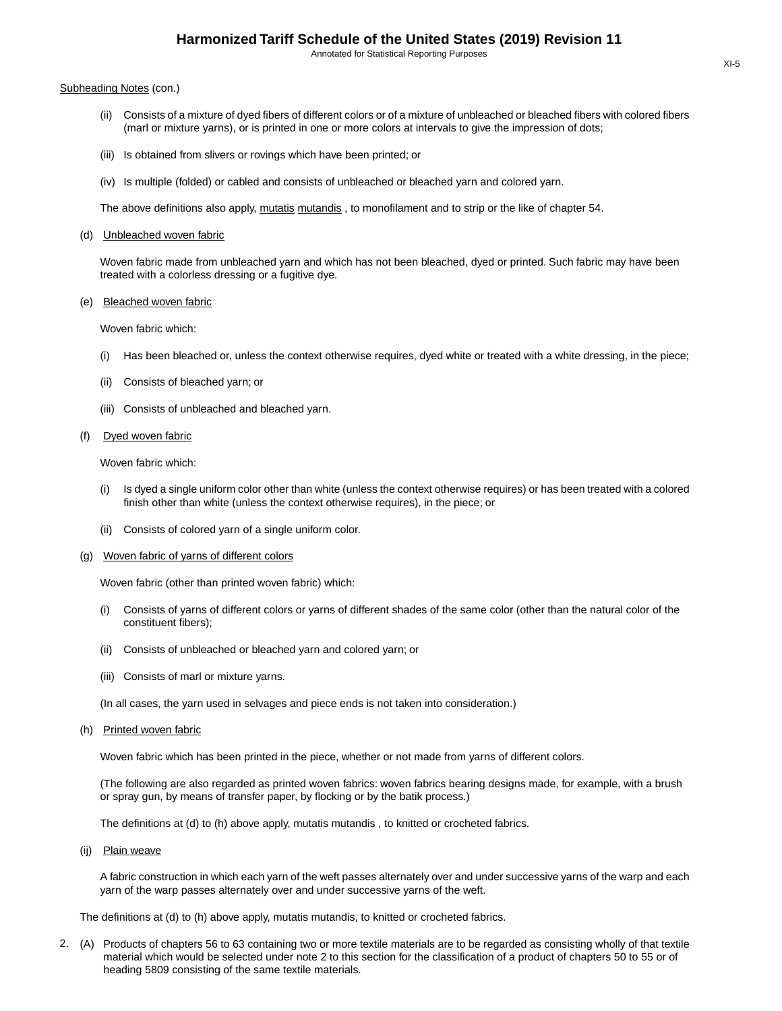#### Subheading Notes (con.)

- (ii) Consists of a mixture of dyed fibers of different colors or of a mixture of unbleached or bleached fibers with colored fibers (marl or mixture yarns), or is printed in one or more colors at intervals to give the impression of dots;
- (iii) Is obtained from slivers or rovings which have been printed; or
- (iv) Is multiple (folded) or cabled and consists of unbleached or bleached yarn and colored yarn.

The above definitions also apply, mutatis mutandis, to monofilament and to strip or the like of chapter 54.

(d) Unbleached woven fabric

Woven fabric made from unbleached yarn and which has not been bleached, dyed or printed. Such fabric may have been treated with a colorless dressing or a fugitive dye.

#### (e) Bleached woven fabric

Woven fabric which:

- (i) Has been bleached or, unless the context otherwise requires, dyed white or treated with a white dressing, in the piece;
- (ii) Consists of bleached yarn; or
- (iii) Consists of unbleached and bleached yarn.

## (f) Dyed woven fabric

Woven fabric which:

- (i) Is dyed a single uniform color other than white (unless the context otherwise requires) or has been treated with a colored finish other than white (unless the context otherwise requires), in the piece; or
- (ii) Consists of colored yarn of a single uniform color.
- (g) Woven fabric of yarns of different colors

Woven fabric (other than printed woven fabric) which:

- (i) Consists of yarns of different colors or yarns of different shades of the same color (other than the natural color of the constituent fibers);
- (ii) Consists of unbleached or bleached yarn and colored yarn; or
- (iii) Consists of marl or mixture yarns.
- (In all cases, the yarn used in selvages and piece ends is not taken into consideration.)
- (h) Printed woven fabric

Woven fabric which has been printed in the piece, whether or not made from yarns of different colors.

(The following are also regarded as printed woven fabrics: woven fabrics bearing designs made, for example, with a brush or spray gun, by means of transfer paper, by flocking or by the batik process.)

The definitions at (d) to (h) above apply, mutatis mutandis , to knitted or crocheted fabrics.

(ij) Plain weave

A fabric construction in which each yarn of the weft passes alternately over and under successive yarns of the warp and each yarn of the warp passes alternately over and under successive yarns of the weft.

The definitions at (d) to (h) above apply, mutatis mutandis, to knitted or crocheted fabrics.

2. (A) Products of chapters 56 to 63 containing two or more textile materials are to be regarded as consisting wholly of that textile material which would be selected under note 2 to this section for the classification of a product of chapters 50 to 55 or of heading 5809 consisting of the same textile materials.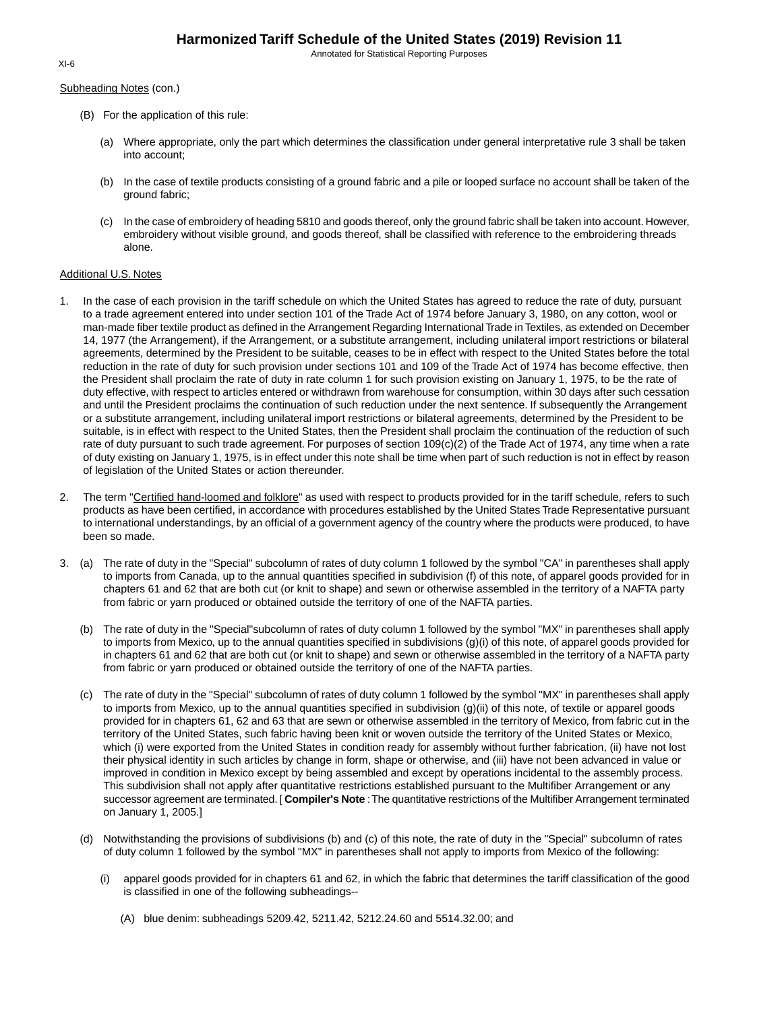Subheading Notes (con.)

- (B) For the application of this rule:
	- (a) Where appropriate, only the part which determines the classification under general interpretative rule 3 shall be taken into account;
	- (b) In the case of textile products consisting of a ground fabric and a pile or looped surface no account shall be taken of the ground fabric;
	- (c) In the case of embroidery of heading 5810 and goods thereof, only the ground fabric shall be taken into account. However, embroidery without visible ground, and goods thereof, shall be classified with reference to the embroidering threads alone.

## Additional U.S. Notes

- 1. In the case of each provision in the tariff schedule on which the United States has agreed to reduce the rate of duty, pursuant to a trade agreement entered into under section 101 of the Trade Act of 1974 before January 3, 1980, on any cotton, wool or man-made fiber textile product as defined in the Arrangement Regarding International Trade in Textiles, as extended on December 14, 1977 (the Arrangement), if the Arrangement, or a substitute arrangement, including unilateral import restrictions or bilateral agreements, determined by the President to be suitable, ceases to be in effect with respect to the United States before the total reduction in the rate of duty for such provision under sections 101 and 109 of the Trade Act of 1974 has become effective, then the President shall proclaim the rate of duty in rate column 1 for such provision existing on January 1, 1975, to be the rate of duty effective, with respect to articles entered or withdrawn from warehouse for consumption, within 30 days after such cessation and until the President proclaims the continuation of such reduction under the next sentence. If subsequently the Arrangement or a substitute arrangement, including unilateral import restrictions or bilateral agreements, determined by the President to be suitable, is in effect with respect to the United States, then the President shall proclaim the continuation of the reduction of such rate of duty pursuant to such trade agreement. For purposes of section 109(c)(2) of the Trade Act of 1974, any time when a rate of duty existing on January 1, 1975, is in effect under this note shall be time when part of such reduction is not in effect by reason of legislation of the United States or action thereunder.
- 2. The term "Certified hand-loomed and folklore" as used with respect to products provided for in the tariff schedule, refers to such products as have been certified, in accordance with procedures established by the United States Trade Representative pursuant to international understandings, by an official of a government agency of the country where the products were produced, to have been so made.
- 3. (a) The rate of duty in the "Special" subcolumn of rates of duty column 1 followed by the symbol "CA" in parentheses shall apply to imports from Canada, up to the annual quantities specified in subdivision (f) of this note, of apparel goods provided for in chapters 61 and 62 that are both cut (or knit to shape) and sewn or otherwise assembled in the territory of a NAFTA party from fabric or yarn produced or obtained outside the territory of one of the NAFTA parties.
	- (b) The rate of duty in the "Special"subcolumn of rates of duty column 1 followed by the symbol "MX" in parentheses shall apply to imports from Mexico, up to the annual quantities specified in subdivisions (g)(i) of this note, of apparel goods provided for in chapters 61 and 62 that are both cut (or knit to shape) and sewn or otherwise assembled in the territory of a NAFTA party from fabric or yarn produced or obtained outside the territory of one of the NAFTA parties.
	- (c) The rate of duty in the "Special" subcolumn of rates of duty column 1 followed by the symbol "MX" in parentheses shall apply to imports from Mexico, up to the annual quantities specified in subdivision (g)(ii) of this note, of textile or apparel goods provided for in chapters 61, 62 and 63 that are sewn or otherwise assembled in the territory of Mexico, from fabric cut in the territory of the United States, such fabric having been knit or woven outside the territory of the United States or Mexico, which (i) were exported from the United States in condition ready for assembly without further fabrication, (ii) have not lost their physical identity in such articles by change in form, shape or otherwise, and (iii) have not been advanced in value or improved in condition in Mexico except by being assembled and except by operations incidental to the assembly process. This subdivision shall not apply after quantitative restrictions established pursuant to the Multifiber Arrangement or any successor agreement are terminated. [ **Compiler's Note** :The quantitative restrictions of the Multifiber Arrangement terminated on January 1, 2005.]
	- (d) Notwithstanding the provisions of subdivisions (b) and (c) of this note, the rate of duty in the "Special" subcolumn of rates of duty column 1 followed by the symbol "MX" in parentheses shall not apply to imports from Mexico of the following:
		- (i) apparel goods provided for in chapters 61 and 62, in which the fabric that determines the tariff classification of the good is classified in one of the following subheadings--
			- (A) blue denim: subheadings 5209.42, 5211.42, 5212.24.60 and 5514.32.00; and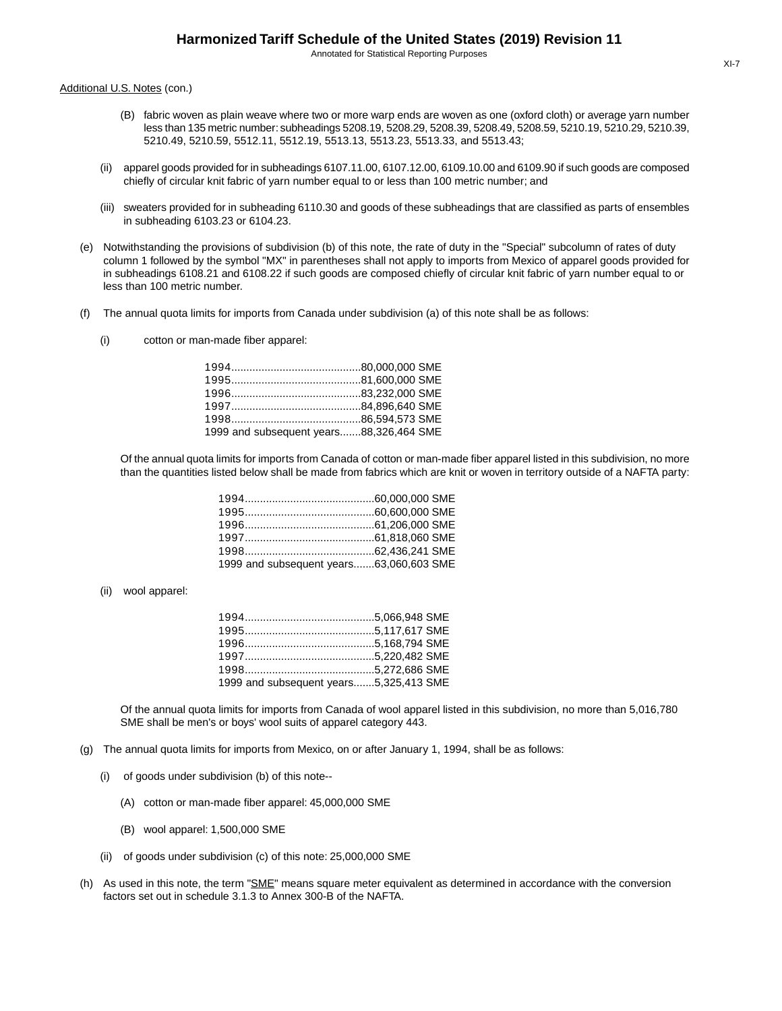Additional U.S. Notes (con.)

- (B) fabric woven as plain weave where two or more warp ends are woven as one (oxford cloth) or average yarn number less than 135 metric number: subheadings 5208.19, 5208.29, 5208.39, 5208.49, 5208.59, 5210.19, 5210.29, 5210.39, 5210.49, 5210.59, 5512.11, 5512.19, 5513.13, 5513.23, 5513.33, and 5513.43;
- (ii) apparel goods provided for in subheadings 6107.11.00, 6107.12.00, 6109.10.00 and 6109.90 if such goods are composed chiefly of circular knit fabric of yarn number equal to or less than 100 metric number; and
- (iii) sweaters provided for in subheading 6110.30 and goods of these subheadings that are classified as parts of ensembles in subheading 6103.23 or 6104.23.
- (e) Notwithstanding the provisions of subdivision (b) of this note, the rate of duty in the "Special" subcolumn of rates of duty column 1 followed by the symbol "MX" in parentheses shall not apply to imports from Mexico of apparel goods provided for in subheadings 6108.21 and 6108.22 if such goods are composed chiefly of circular knit fabric of yarn number equal to or less than 100 metric number.
- (f) The annual quota limits for imports from Canada under subdivision (a) of this note shall be as follows:
	- (i) cotton or man-made fiber apparel:

| 1999 and subsequent years88,326,464 SME |  |
|-----------------------------------------|--|

Of the annual quota limits for imports from Canada of cotton or man-made fiber apparel listed in this subdivision, no more than the quantities listed below shall be made from fabrics which are knit or woven in territory outside of a NAFTA party:

| 1999 and subsequent years63,060,603 SME |  |
|-----------------------------------------|--|

(ii) wool apparel:

| 1999 and subsequent years5,325,413 SME |  |
|----------------------------------------|--|

Of the annual quota limits for imports from Canada of wool apparel listed in this subdivision, no more than 5,016,780 SME shall be men's or boys' wool suits of apparel category 443.

- (g) The annual quota limits for imports from Mexico, on or after January 1, 1994, shall be as follows:
	- (i) of goods under subdivision (b) of this note--
		- (A) cotton or man-made fiber apparel: 45,000,000 SME
		- (B) wool apparel: 1,500,000 SME
	- (ii) of goods under subdivision (c) of this note: 25,000,000 SME
- (h) As used in this note, the term "SME" means square meter equivalent as determined in accordance with the conversion factors set out in schedule 3.1.3 to Annex 300-B of the NAFTA.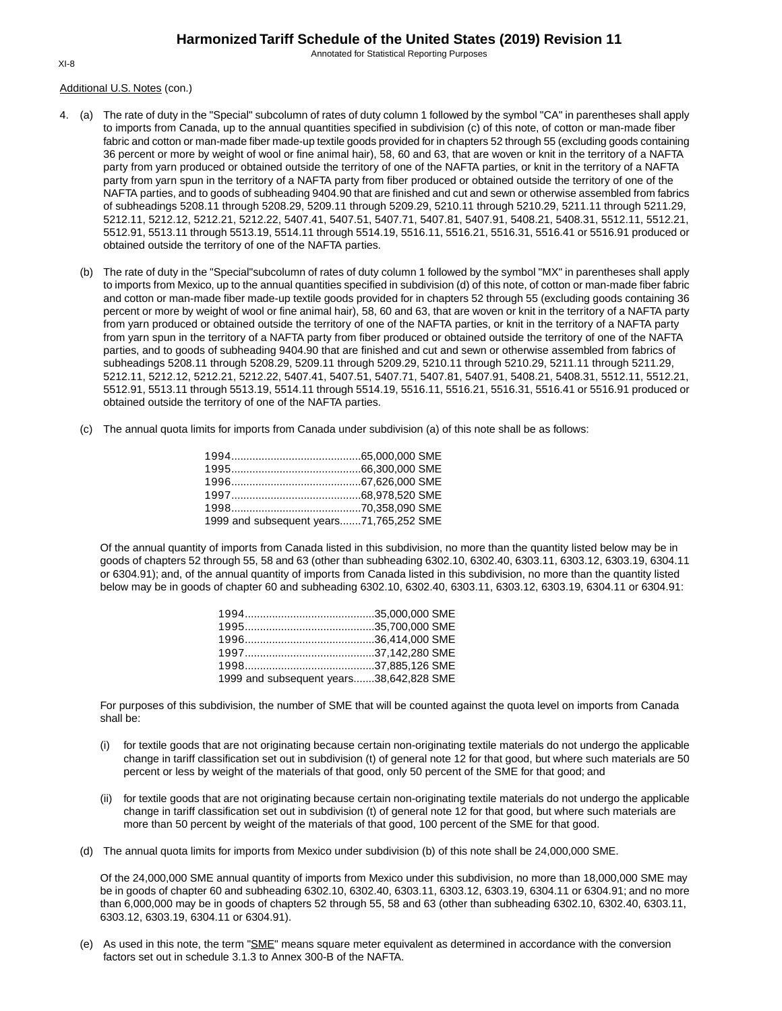Annotated for Statistical Reporting Purposes

Additional U.S. Notes (con.)

- 4. (a) The rate of duty in the "Special" subcolumn of rates of duty column 1 followed by the symbol "CA" in parentheses shall apply to imports from Canada, up to the annual quantities specified in subdivision (c) of this note, of cotton or man-made fiber fabric and cotton or man-made fiber made-up textile goods provided for in chapters 52 through 55 (excluding goods containing 36 percent or more by weight of wool or fine animal hair), 58, 60 and 63, that are woven or knit in the territory of a NAFTA party from yarn produced or obtained outside the territory of one of the NAFTA parties, or knit in the territory of a NAFTA party from yarn spun in the territory of a NAFTA party from fiber produced or obtained outside the territory of one of the NAFTA parties, and to goods of subheading 9404.90 that are finished and cut and sewn or otherwise assembled from fabrics of subheadings 5208.11 through 5208.29, 5209.11 through 5209.29, 5210.11 through 5210.29, 5211.11 through 5211.29, 5212.11, 5212.12, 5212.21, 5212.22, 5407.41, 5407.51, 5407.71, 5407.81, 5407.91, 5408.21, 5408.31, 5512.11, 5512.21, 5512.91, 5513.11 through 5513.19, 5514.11 through 5514.19, 5516.11, 5516.21, 5516.31, 5516.41 or 5516.91 produced or obtained outside the territory of one of the NAFTA parties.
	- (b) The rate of duty in the "Special"subcolumn of rates of duty column 1 followed by the symbol "MX" in parentheses shall apply to imports from Mexico, up to the annual quantities specified in subdivision (d) of this note, of cotton or man-made fiber fabric and cotton or man-made fiber made-up textile goods provided for in chapters 52 through 55 (excluding goods containing 36 percent or more by weight of wool or fine animal hair), 58, 60 and 63, that are woven or knit in the territory of a NAFTA party from yarn produced or obtained outside the territory of one of the NAFTA parties, or knit in the territory of a NAFTA party from yarn spun in the territory of a NAFTA party from fiber produced or obtained outside the territory of one of the NAFTA parties, and to goods of subheading 9404.90 that are finished and cut and sewn or otherwise assembled from fabrics of subheadings 5208.11 through 5208.29, 5209.11 through 5209.29, 5210.11 through 5210.29, 5211.11 through 5211.29, 5212.11, 5212.12, 5212.21, 5212.22, 5407.41, 5407.51, 5407.71, 5407.81, 5407.91, 5408.21, 5408.31, 5512.11, 5512.21, 5512.91, 5513.11 through 5513.19, 5514.11 through 5514.19, 5516.11, 5516.21, 5516.31, 5516.41 or 5516.91 produced or obtained outside the territory of one of the NAFTA parties.
	- (c) The annual quota limits for imports from Canada under subdivision (a) of this note shall be as follows:

| 1999 and subsequent years71,765,252 SME |  |
|-----------------------------------------|--|

Of the annual quantity of imports from Canada listed in this subdivision, no more than the quantity listed below may be in goods of chapters 52 through 55, 58 and 63 (other than subheading 6302.10, 6302.40, 6303.11, 6303.12, 6303.19, 6304.11 or 6304.91); and, of the annual quantity of imports from Canada listed in this subdivision, no more than the quantity listed below may be in goods of chapter 60 and subheading 6302.10, 6302.40, 6303.11, 6303.12, 6303.19, 6304.11 or 6304.91:

| 1999 and subsequent years38,642,828 SME |  |
|-----------------------------------------|--|

For purposes of this subdivision, the number of SME that will be counted against the quota level on imports from Canada shall be:

- (i) for textile goods that are not originating because certain non-originating textile materials do not undergo the applicable change in tariff classification set out in subdivision (t) of general note 12 for that good, but where such materials are 50 percent or less by weight of the materials of that good, only 50 percent of the SME for that good; and
- (ii) for textile goods that are not originating because certain non-originating textile materials do not undergo the applicable change in tariff classification set out in subdivision (t) of general note 12 for that good, but where such materials are more than 50 percent by weight of the materials of that good, 100 percent of the SME for that good.
- (d) The annual quota limits for imports from Mexico under subdivision (b) of this note shall be 24,000,000 SME.

Of the 24,000,000 SME annual quantity of imports from Mexico under this subdivision, no more than 18,000,000 SME may be in goods of chapter 60 and subheading 6302.10, 6302.40, 6303.11, 6303.12, 6303.19, 6304.11 or 6304.91; and no more than 6,000,000 may be in goods of chapters 52 through 55, 58 and 63 (other than subheading 6302.10, 6302.40, 6303.11, 6303.12, 6303.19, 6304.11 or 6304.91).

(e) As used in this note, the term "SME" means square meter equivalent as determined in accordance with the conversion factors set out in schedule 3.1.3 to Annex 300-B of the NAFTA.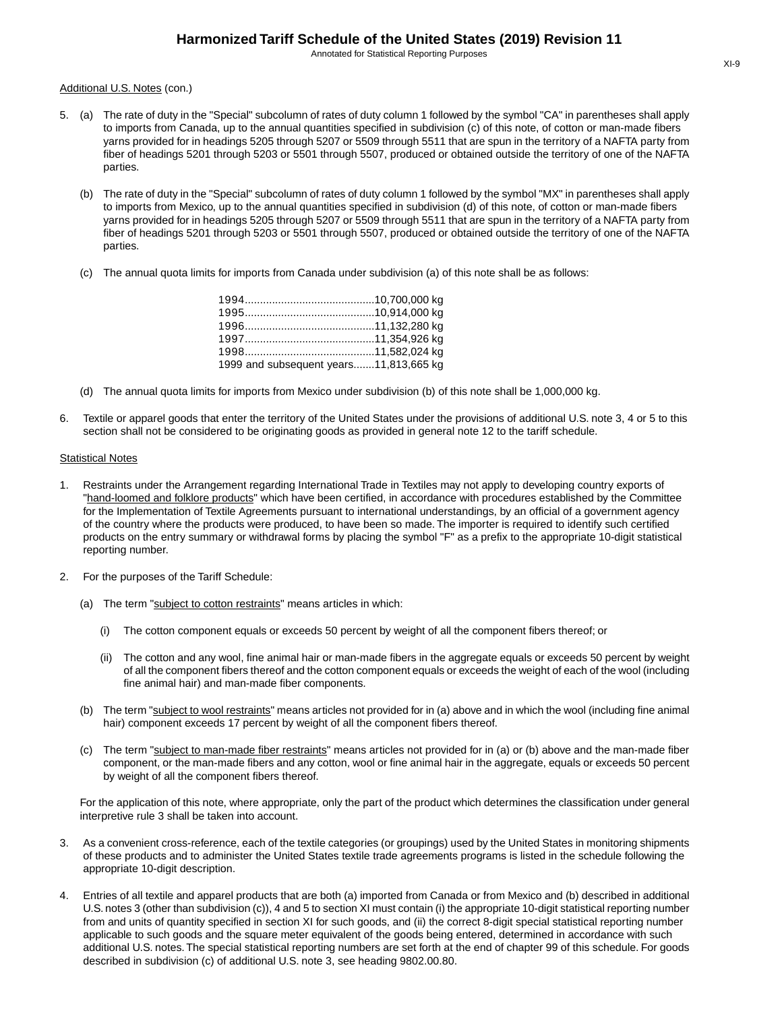Additional U.S. Notes (con.)

- 5. (a) The rate of duty in the "Special" subcolumn of rates of duty column 1 followed by the symbol "CA" in parentheses shall apply to imports from Canada, up to the annual quantities specified in subdivision (c) of this note, of cotton or man-made fibers yarns provided for in headings 5205 through 5207 or 5509 through 5511 that are spun in the territory of a NAFTA party from fiber of headings 5201 through 5203 or 5501 through 5507, produced or obtained outside the territory of one of the NAFTA parties.
	- (b) The rate of duty in the "Special" subcolumn of rates of duty column 1 followed by the symbol "MX" in parentheses shall apply to imports from Mexico, up to the annual quantities specified in subdivision (d) of this note, of cotton or man-made fibers yarns provided for in headings 5205 through 5207 or 5509 through 5511 that are spun in the territory of a NAFTA party from fiber of headings 5201 through 5203 or 5501 through 5507, produced or obtained outside the territory of one of the NAFTA parties.
	- (c) The annual quota limits for imports from Canada under subdivision (a) of this note shall be as follows:

| 1999 and subsequent years11,813,665 kg |  |
|----------------------------------------|--|

- (d) The annual quota limits for imports from Mexico under subdivision (b) of this note shall be 1,000,000 kg.
- 6. Textile or apparel goods that enter the territory of the United States under the provisions of additional U.S. note 3, 4 or 5 to this section shall not be considered to be originating goods as provided in general note 12 to the tariff schedule.

## Statistical Notes

- 1. Restraints under the Arrangement regarding International Trade in Textiles may not apply to developing country exports of "hand-loomed and folklore products" which have been certified, in accordance with procedures established by the Committee for the Implementation of Textile Agreements pursuant to international understandings, by an official of a government agency of the country where the products were produced, to have been so made. The importer is required to identify such certified products on the entry summary or withdrawal forms by placing the symbol "F" as a prefix to the appropriate 10-digit statistical reporting number.
- 2. For the purposes of the Tariff Schedule:
	- (a) The term "subject to cotton restraints" means articles in which:
		- (i) The cotton component equals or exceeds 50 percent by weight of all the component fibers thereof; or
		- (ii) The cotton and any wool, fine animal hair or man-made fibers in the aggregate equals or exceeds 50 percent by weight of all the component fibers thereof and the cotton component equals or exceeds the weight of each of the wool (including fine animal hair) and man-made fiber components.
	- (b) The term "subject to wool restraints" means articles not provided for in (a) above and in which the wool (including fine animal hair) component exceeds 17 percent by weight of all the component fibers thereof.
	- (c) The term "subject to man-made fiber restraints" means articles not provided for in (a) or (b) above and the man-made fiber component, or the man-made fibers and any cotton, wool or fine animal hair in the aggregate, equals or exceeds 50 percent by weight of all the component fibers thereof.

For the application of this note, where appropriate, only the part of the product which determines the classification under general interpretive rule 3 shall be taken into account.

- 3. As a convenient cross-reference, each of the textile categories (or groupings) used by the United States in monitoring shipments of these products and to administer the United States textile trade agreements programs is listed in the schedule following the appropriate 10-digit description.
- 4. Entries of all textile and apparel products that are both (a) imported from Canada or from Mexico and (b) described in additional U.S. notes 3 (other than subdivision (c)), 4 and 5 to section XI must contain (i) the appropriate 10-digit statistical reporting number from and units of quantity specified in section XI for such goods, and (ii) the correct 8-digit special statistical reporting number applicable to such goods and the square meter equivalent of the goods being entered, determined in accordance with such additional U.S. notes. The special statistical reporting numbers are set forth at the end of chapter 99 of this schedule. For goods described in subdivision (c) of additional U.S. note 3, see heading 9802.00.80.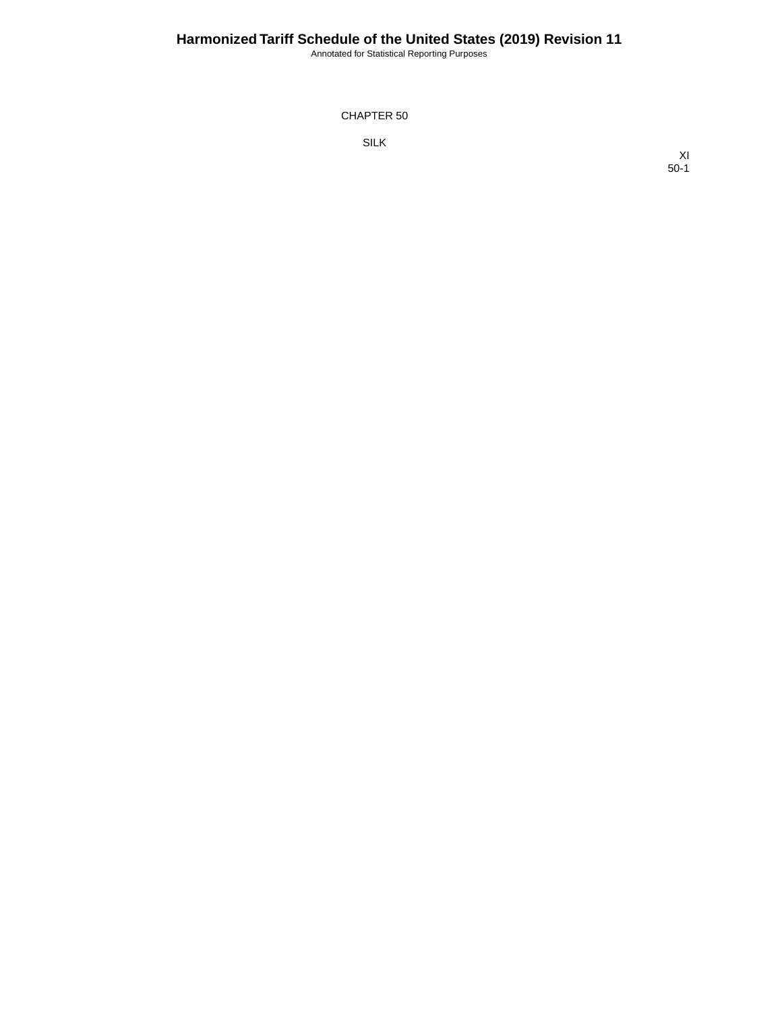Annotated for Statistical Reporting Purposes

CHAPTER 50

SILK

XI 50-1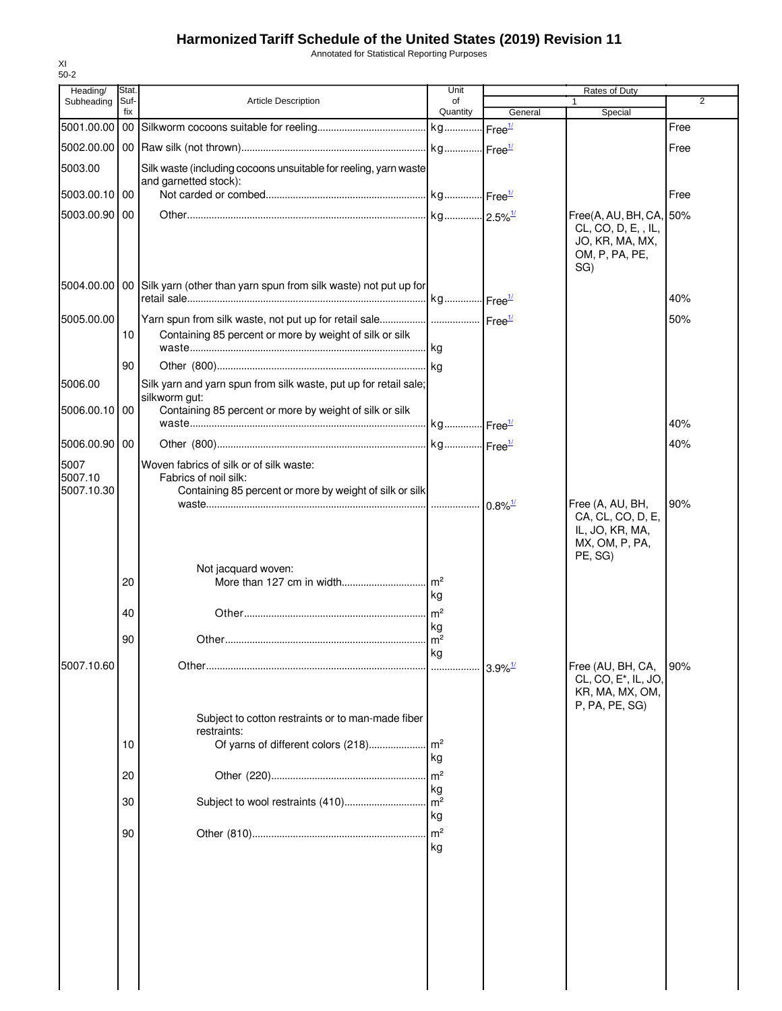Annotated for Statistical Reporting Purposes

| Heading/                      | Stat.       |                                                                                                                                       | Unit                 |                       | Rates of Duty                                                                              |      |  |
|-------------------------------|-------------|---------------------------------------------------------------------------------------------------------------------------------------|----------------------|-----------------------|--------------------------------------------------------------------------------------------|------|--|
| Subheading                    | Suf-<br>fix | <b>Article Description</b>                                                                                                            | of<br>Quantity       | General               | Special                                                                                    | 2    |  |
| 5001.00.00 00                 |             |                                                                                                                                       |                      |                       |                                                                                            | Free |  |
|                               |             |                                                                                                                                       |                      |                       |                                                                                            | Free |  |
| 5003.00                       |             | Silk waste (including cocoons unsuitable for reeling, yarn waste<br>and garnetted stock):                                             |                      |                       |                                                                                            |      |  |
| 5003.00.10 00                 |             |                                                                                                                                       |                      |                       |                                                                                            | Free |  |
| 5003.00.90 00                 |             |                                                                                                                                       |                      |                       | Free(A, AU, BH, CA, 50%<br>CL, CO, D, E, , IL,<br>JO, KR, MA, MX,<br>OM, P, PA, PE,<br>SG) |      |  |
|                               |             | 5004.00.00   00 Silk yarn (other than yarn spun from silk waste) not put up for                                                       |                      |                       |                                                                                            | 40%  |  |
| 5005.00.00                    | 10          | Yarn spun from silk waste, not put up for retail sale   Free <sup>1/</sup><br>Containing 85 percent or more by weight of silk or silk |                      |                       |                                                                                            | 50%  |  |
|                               | 90          |                                                                                                                                       |                      |                       |                                                                                            |      |  |
| 5006.00                       |             | Silk yarn and yarn spun from silk waste, put up for retail sale;<br>silkworm gut:                                                     |                      |                       |                                                                                            |      |  |
| 5006.00.10                    | 00          | Containing 85 percent or more by weight of silk or silk                                                                               |                      |                       |                                                                                            | 40%  |  |
| 5006.00.90 00                 |             |                                                                                                                                       |                      |                       |                                                                                            | 40%  |  |
| 5007<br>5007.10<br>5007.10.30 |             | Woven fabrics of silk or of silk waste:<br>Fabrics of noil silk:<br>Containing 85 percent or more by weight of silk or silk           |                      |                       | Free (A, AU, BH,                                                                           | 90%  |  |
|                               |             |                                                                                                                                       |                      |                       | CA, CL, CO, D, E,<br>IL, JO, KR, MA,<br>MX, OM, P, PA,<br>PE, SG)                          |      |  |
|                               | 20          | Not jacquard woven:                                                                                                                   | m <sup>2</sup><br>kg |                       |                                                                                            |      |  |
|                               | 40          |                                                                                                                                       | m <sup>2</sup><br>kg |                       |                                                                                            |      |  |
|                               | 90          |                                                                                                                                       | $\mathsf{m}^2$       |                       |                                                                                            |      |  |
| 5007.10.60                    |             |                                                                                                                                       | kg<br>.              | $3.9\%$ <sup>1/</sup> | Free (AU, BH, CA,<br>CL, CO, E <sup>*</sup> , IL, JO,                                      | 90%  |  |
|                               |             |                                                                                                                                       |                      |                       | KR, MA, MX, OM,<br>P, PA, PE, SG)                                                          |      |  |
|                               |             | Subject to cotton restraints or to man-made fiber<br>restraints:                                                                      |                      |                       |                                                                                            |      |  |
|                               | 10          | Of yarns of different colors (218)                                                                                                    | m <sup>2</sup><br>kg |                       |                                                                                            |      |  |
|                               | 20          |                                                                                                                                       | m <sup>2</sup><br>kg |                       |                                                                                            |      |  |
|                               | 30          | Subject to wool restraints (410)                                                                                                      | m <sup>2</sup><br>kg |                       |                                                                                            |      |  |
|                               | 90          |                                                                                                                                       | m <sup>2</sup><br>kg |                       |                                                                                            |      |  |
|                               |             |                                                                                                                                       |                      |                       |                                                                                            |      |  |
|                               |             |                                                                                                                                       |                      |                       |                                                                                            |      |  |
|                               |             |                                                                                                                                       |                      |                       |                                                                                            |      |  |
|                               |             |                                                                                                                                       |                      |                       |                                                                                            |      |  |

XI 50-2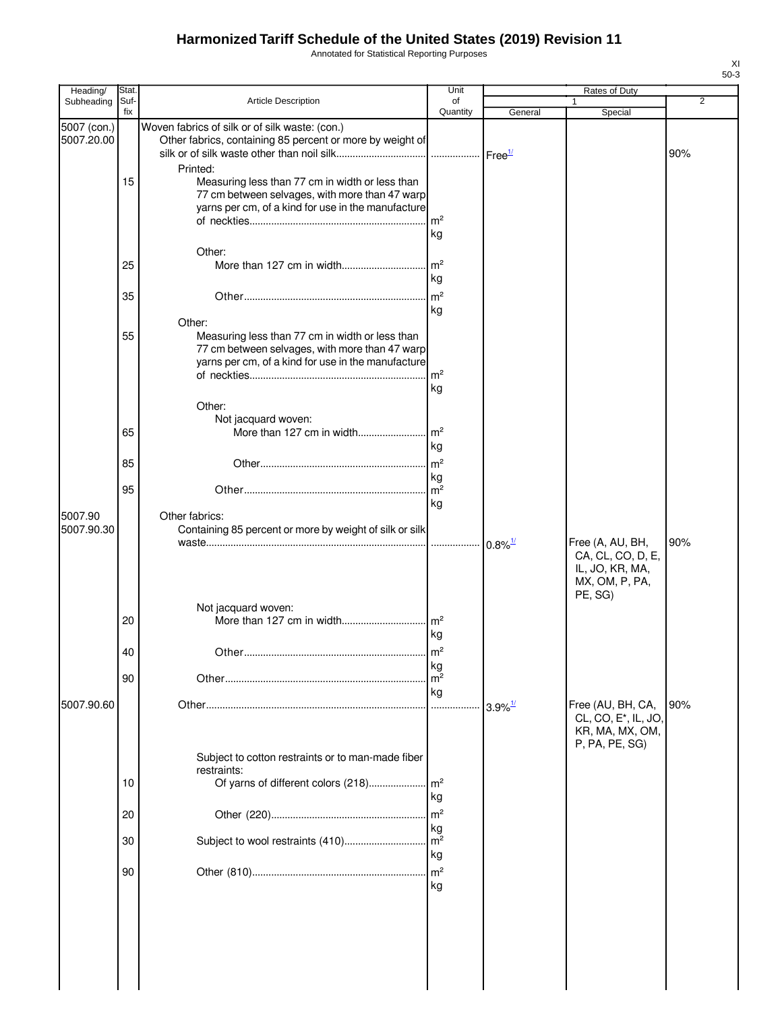Annotated for Statistical Reporting Purposes

| Heading/                  | Stat.       |                                                                                                                                                                     | Unit                                   |                       | Rates of Duty                                                                              |     |
|---------------------------|-------------|---------------------------------------------------------------------------------------------------------------------------------------------------------------------|----------------------------------------|-----------------------|--------------------------------------------------------------------------------------------|-----|
| Subheading                | Suf-<br>fix | Article Description                                                                                                                                                 | of<br>Quantity                         | General               | 1<br>Special                                                                               | 2   |
| 5007 (con.)<br>5007.20.00 |             | Woven fabrics of silk or of silk waste: (con.)<br>Other fabrics, containing 85 percent or more by weight of                                                         |                                        |                       |                                                                                            | 90% |
|                           | 15          | Printed:<br>Measuring less than 77 cm in width or less than<br>77 cm between selvages, with more than 47 warp<br>yarns per cm, of a kind for use in the manufacture | m <sup>2</sup><br>kg                   |                       |                                                                                            |     |
|                           | 25          | Other:                                                                                                                                                              | $\mathsf{Im}^2$<br>kg                  |                       |                                                                                            |     |
|                           | 35          |                                                                                                                                                                     | m <sup>2</sup><br>kg                   |                       |                                                                                            |     |
|                           | 55          | Other:<br>Measuring less than 77 cm in width or less than<br>77 cm between selvages, with more than 47 warp<br>yarns per cm, of a kind for use in the manufacture   | m <sup>2</sup><br>kg                   |                       |                                                                                            |     |
|                           | 65          | Other:<br>Not jacquard woven:<br>More than 127 cm in width                                                                                                          | $\mathsf{Im}^2$                        |                       |                                                                                            |     |
|                           | 85          |                                                                                                                                                                     | kg<br>$\mathsf{Im}^2$                  |                       |                                                                                            |     |
|                           | 95          |                                                                                                                                                                     | kg<br>$\mathsf{Im}^2$                  |                       |                                                                                            |     |
| 5007.90<br>5007.90.30     |             | Other fabrics:<br>Containing 85 percent or more by weight of silk or silk                                                                                           | kg                                     |                       | Free (A, AU, BH,<br>CA, CL, CO, D, E,<br>IL, JO, KR, MA,<br>MX, OM, P, PA,<br>PE, SG)      | 90% |
|                           | 20          | Not jacquard woven:                                                                                                                                                 | kg                                     |                       |                                                                                            |     |
|                           | л∩          | <b>Other</b>                                                                                                                                                        | m <sup>2</sup>                         |                       |                                                                                            |     |
|                           | 90          |                                                                                                                                                                     | kg<br>m <sup>2</sup><br>kg             |                       |                                                                                            |     |
| 5007.90.60                |             |                                                                                                                                                                     | .                                      | $3.9\%$ <sup>1/</sup> | Free (AU, BH, CA,<br>CL, CO, E <sup>*</sup> , IL, JO,<br>KR, MA, MX, OM,<br>P, PA, PE, SG) | 90% |
|                           |             | Subject to cotton restraints or to man-made fiber<br>restraints:                                                                                                    |                                        |                       |                                                                                            |     |
|                           | 10          | Of yarns of different colors (218)                                                                                                                                  | m <sup>2</sup><br>kg                   |                       |                                                                                            |     |
|                           | 20<br>30    | Subject to wool restraints (410)                                                                                                                                    | m <sup>2</sup><br>kg<br>m <sup>2</sup> |                       |                                                                                            |     |
|                           | 90          |                                                                                                                                                                     | kg<br>$\mathsf{Im}^2$                  |                       |                                                                                            |     |
|                           |             |                                                                                                                                                                     | kg                                     |                       |                                                                                            |     |

XI 50-3